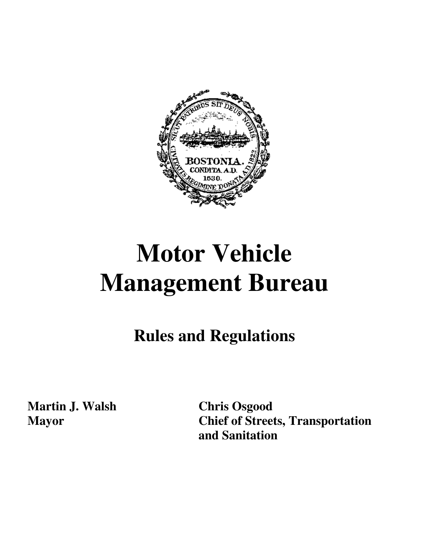

# **Motor Vehicle Management Bureau**

**Rules and Regulations** 

**Martin J. Walsh Chris Osgood** 

**Mayor Chief of Streets, Transportation and Sanitation**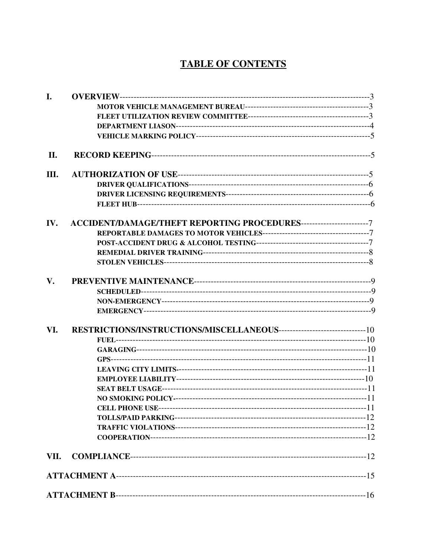# **TABLE OF CONTENTS**

| I.   |  |
|------|--|
|      |  |
|      |  |
|      |  |
|      |  |
| II.  |  |
| Ш.   |  |
|      |  |
|      |  |
|      |  |
| IV.  |  |
|      |  |
|      |  |
|      |  |
|      |  |
| V.   |  |
|      |  |
|      |  |
|      |  |
| VI.  |  |
|      |  |
|      |  |
|      |  |
|      |  |
|      |  |
|      |  |
|      |  |
|      |  |
|      |  |
|      |  |
|      |  |
| VII. |  |
|      |  |
|      |  |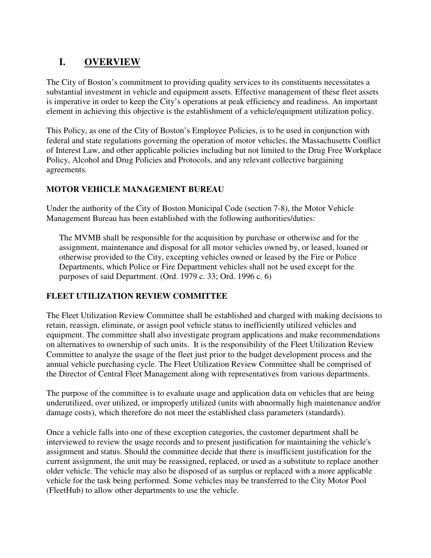# **I. OVERVIEW**

The City of Boston's commitment to providing quality services to its constituents necessitates a substantial investment in vehicle and equipment assets. Effective management of these fleet assets is imperative in order to keep the City's operations at peak efficiency and readiness. An important element in achieving this objective is the establishment of a vehicle/equipment utilization policy.

This Policy, as one of the City of Boston's Employee Policies, is to be used in conjunction with federal and state regulations governing the operation of motor vehicles, the Massachusetts Conflict of Interest Law, and other applicable policies including but not limited to the Drug Free Workplace Policy, Alcohol and Drug Policies and Protocols, and any relevant collective bargaining agreements.

# **MOTOR VEHICLE MANAGEMENT BUREAU**

Under the authority of the City of Boston Municipal Code (section 7-8), the Motor Vehicle Management Bureau has been established with the following authorities/duties:

The MVMB shall be responsible for the acquisition by purchase or otherwise and for the assignment, maintenance and disposal for all motor vehicles owned by, or leased, loaned or otherwise provided to the City, excepting vehicles owned or leased by the Fire or Police Departments, which Police or Fire Department vehicles shall not be used except for the purposes of said Department. (Ord. 1979 c. 33; Ord. 1996 c. 6)

# **FLEET UTILIZATION REVIEW COMMITTEE**

The Fleet Utilization Review Committee shall be established and charged with making decisions to retain, reassign, eliminate, or assign pool vehicle status to inefficiently utilized vehicles and equipment. The committee shall also investigate program applications and make recommendations on alternatives to ownership of such units. It is the responsibility of the Fleet Utilization Review Committee to analyze the usage of the fleet just prior to the budget development process and the annual vehicle purchasing cycle. The Fleet Utilization Review Committee shall be comprised of the Director of Central Fleet Management along with representatives from various departments.

The purpose of the committee is to evaluate usage and application data on vehicles that are being underutilized, over utilized, or improperly utilized (units with abnormally high maintenance and/or damage costs), which therefore do not meet the established class parameters (standards).

Once a vehicle falls into one of these exception categories, the customer department shall be interviewed to review the usage records and to present justification for maintaining the vehicle's assignment and status. Should the committee decide that there is insufficient justification for the current assignment, the unit may be reassigned, replaced, or used as a substitute to replace another older vehicle. The vehicle may also be disposed of as surplus or replaced with a more applicable vehicle for the task being performed. Some vehicles may be transferred to the City Motor Pool (FleetHub) to allow other departments to use the vehicle.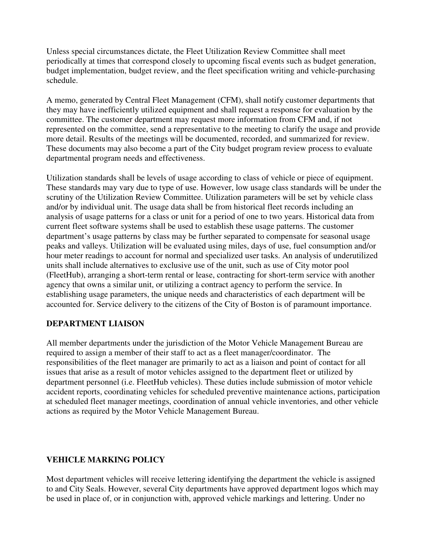Unless special circumstances dictate, the Fleet Utilization Review Committee shall meet periodically at times that correspond closely to upcoming fiscal events such as budget generation, budget implementation, budget review, and the fleet specification writing and vehicle-purchasing schedule.

A memo, generated by Central Fleet Management (CFM), shall notify customer departments that they may have inefficiently utilized equipment and shall request a response for evaluation by the committee. The customer department may request more information from CFM and, if not represented on the committee, send a representative to the meeting to clarify the usage and provide more detail. Results of the meetings will be documented, recorded, and summarized for review. These documents may also become a part of the City budget program review process to evaluate departmental program needs and effectiveness.

Utilization standards shall be levels of usage according to class of vehicle or piece of equipment. These standards may vary due to type of use. However, low usage class standards will be under the scrutiny of the Utilization Review Committee. Utilization parameters will be set by vehicle class and/or by individual unit. The usage data shall be from historical fleet records including an analysis of usage patterns for a class or unit for a period of one to two years. Historical data from current fleet software systems shall be used to establish these usage patterns. The customer department's usage patterns by class may be further separated to compensate for seasonal usage peaks and valleys. Utilization will be evaluated using miles, days of use, fuel consumption and/or hour meter readings to account for normal and specialized user tasks. An analysis of underutilized units shall include alternatives to exclusive use of the unit, such as use of City motor pool (FleetHub), arranging a short-term rental or lease, contracting for short-term service with another agency that owns a similar unit, or utilizing a contract agency to perform the service. In establishing usage parameters, the unique needs and characteristics of each department will be accounted for. Service delivery to the citizens of the City of Boston is of paramount importance.

# **DEPARTMENT LIAISON**

All member departments under the jurisdiction of the Motor Vehicle Management Bureau are required to assign a member of their staff to act as a fleet manager/coordinator. The responsibilities of the fleet manager are primarily to act as a liaison and point of contact for all issues that arise as a result of motor vehicles assigned to the department fleet or utilized by department personnel (i.e. FleetHub vehicles). These duties include submission of motor vehicle accident reports, coordinating vehicles for scheduled preventive maintenance actions, participation at scheduled fleet manager meetings, coordination of annual vehicle inventories, and other vehicle actions as required by the Motor Vehicle Management Bureau.

#### **VEHICLE MARKING POLICY**

Most department vehicles will receive lettering identifying the department the vehicle is assigned to and City Seals. However, several City departments have approved department logos which may be used in place of, or in conjunction with, approved vehicle markings and lettering. Under no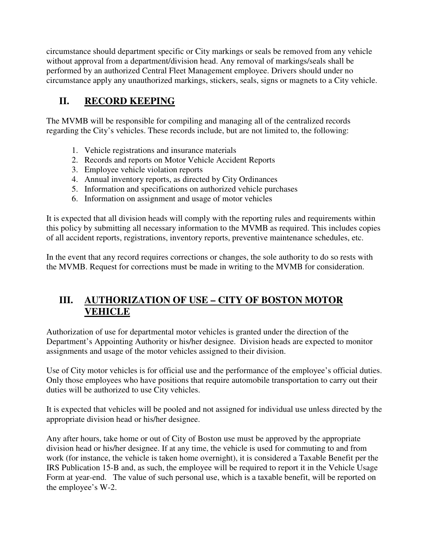circumstance should department specific or City markings or seals be removed from any vehicle without approval from a department/division head. Any removal of markings/seals shall be performed by an authorized Central Fleet Management employee. Drivers should under no circumstance apply any unauthorized markings, stickers, seals, signs or magnets to a City vehicle.

# **II. RECORD KEEPING**

The MVMB will be responsible for compiling and managing all of the centralized records regarding the City's vehicles. These records include, but are not limited to, the following:

- 1. Vehicle registrations and insurance materials
- 2. Records and reports on Motor Vehicle Accident Reports
- 3. Employee vehicle violation reports
- 4. Annual inventory reports, as directed by City Ordinances
- 5. Information and specifications on authorized vehicle purchases
- 6. Information on assignment and usage of motor vehicles

It is expected that all division heads will comply with the reporting rules and requirements within this policy by submitting all necessary information to the MVMB as required. This includes copies of all accident reports, registrations, inventory reports, preventive maintenance schedules, etc.

In the event that any record requires corrections or changes, the sole authority to do so rests with the MVMB. Request for corrections must be made in writing to the MVMB for consideration.

# **III. AUTHORIZATION OF USE – CITY OF BOSTON MOTOR VEHICLE**

Authorization of use for departmental motor vehicles is granted under the direction of the Department's Appointing Authority or his/her designee. Division heads are expected to monitor assignments and usage of the motor vehicles assigned to their division.

Use of City motor vehicles is for official use and the performance of the employee's official duties. Only those employees who have positions that require automobile transportation to carry out their duties will be authorized to use City vehicles.

It is expected that vehicles will be pooled and not assigned for individual use unless directed by the appropriate division head or his/her designee.

Any after hours, take home or out of City of Boston use must be approved by the appropriate division head or his/her designee. If at any time, the vehicle is used for commuting to and from work (for instance, the vehicle is taken home overnight), it is considered a Taxable Benefit per the IRS Publication 15-B and, as such, the employee will be required to report it in the Vehicle Usage Form at year-end. The value of such personal use, which is a taxable benefit, will be reported on the employee's W-2.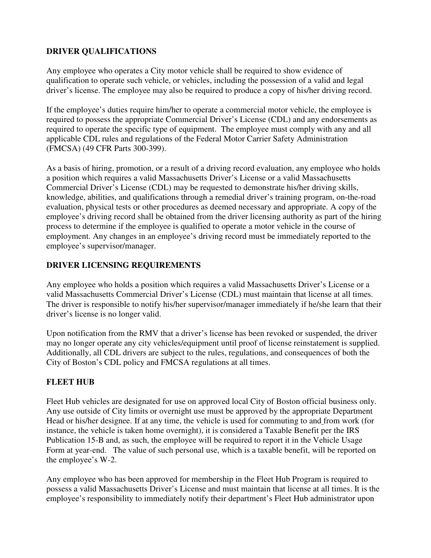#### **DRIVER QUALIFICATIONS**

Any employee who operates a City motor vehicle shall be required to show evidence of qualification to operate such vehicle, or vehicles, including the possession of a valid and legal driver's license. The employee may also be required to produce a copy of his/her driving record.

If the employee's duties require him/her to operate a commercial motor vehicle, the employee is required to possess the appropriate Commercial Driver's License (CDL) and any endorsements as required to operate the specific type of equipment. The employee must comply with any and all applicable CDL rules and regulations of the Federal Motor Carrier Safety Administration (FMCSA) (49 CFR Parts 300-399).

As a basis of hiring, promotion, or a result of a driving record evaluation, any employee who holds a position which requires a valid Massachusetts Driver's License or a valid Massachusetts Commercial Driver's License (CDL) may be requested to demonstrate his/her driving skills, knowledge, abilities, and qualifications through a remedial driver's training program, on-the-road evaluation, physical tests or other procedures as deemed necessary and appropriate. A copy of the employee's driving record shall be obtained from the driver licensing authority as part of the hiring process to determine if the employee is qualified to operate a motor vehicle in the course of employment. Any changes in an employee's driving record must be immediately reported to the employee's supervisor/manager.

# **DRIVER LICENSING REQUIREMENTS**

Any employee who holds a position which requires a valid Massachusetts Driver's License or a valid Massachusetts Commercial Driver's License (CDL) must maintain that license at all times. The driver is responsible to notify his/her supervisor/manager immediately if he/she learn that their driver's license is no longer valid.

Upon notification from the RMV that a driver's license has been revoked or suspended, the driver may no longer operate any city vehicles/equipment until proof of license reinstatement is supplied. Additionally, all CDL drivers are subject to the rules, regulations, and consequences of both the City of Boston's CDL policy and FMCSA regulations at all times.

# **FLEET HUB**

Fleet Hub vehicles are designated for use on approved local City of Boston official business only. Any use outside of City limits or overnight use must be approved by the appropriate Department Head or his/her designee. If at any time, the vehicle is used for commuting to and from work (for instance, the vehicle is taken home overnight), it is considered a Taxable Benefit per the IRS Publication 15-B and, as such, the employee will be required to report it in the Vehicle Usage Form at year-end. The value of such personal use, which is a taxable benefit, will be reported on the employee's W-2.

Any employee who has been approved for membership in the Fleet Hub Program is required to possess a valid Massachusetts Driver's License and must maintain that license at all times. It is the employee's responsibility to immediately notify their department's Fleet Hub administrator upon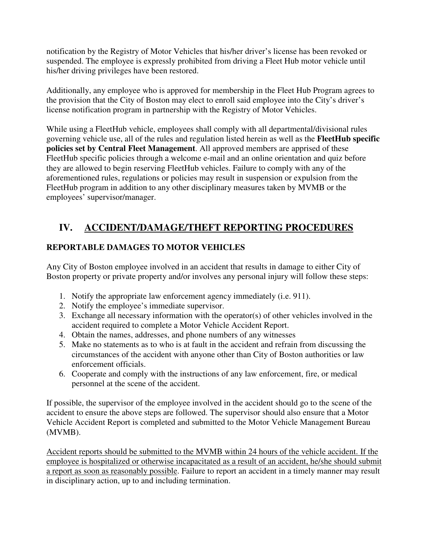notification by the Registry of Motor Vehicles that his/her driver's license has been revoked or suspended. The employee is expressly prohibited from driving a Fleet Hub motor vehicle until his/her driving privileges have been restored.

Additionally, any employee who is approved for membership in the Fleet Hub Program agrees to the provision that the City of Boston may elect to enroll said employee into the City's driver's license notification program in partnership with the Registry of Motor Vehicles.

While using a FleetHub vehicle, employees shall comply with all departmental/divisional rules governing vehicle use, all of the rules and regulation listed herein as well as the **FleetHub specific policies set by Central Fleet Management**. All approved members are apprised of these FleetHub specific policies through a welcome e-mail and an online orientation and quiz before they are allowed to begin reserving FleetHub vehicles. Failure to comply with any of the aforementioned rules, regulations or policies may result in suspension or expulsion from the FleetHub program in addition to any other disciplinary measures taken by MVMB or the employees' supervisor/manager.

# **IV. ACCIDENT/DAMAGE/THEFT REPORTING PROCEDURES**

# **REPORTABLE DAMAGES TO MOTOR VEHICLES**

Any City of Boston employee involved in an accident that results in damage to either City of Boston property or private property and/or involves any personal injury will follow these steps:

- 1. Notify the appropriate law enforcement agency immediately (i.e. 911).
- 2. Notify the employee's immediate supervisor.
- 3. Exchange all necessary information with the operator(s) of other vehicles involved in the accident required to complete a Motor Vehicle Accident Report.
- 4. Obtain the names, addresses, and phone numbers of any witnesses
- 5. Make no statements as to who is at fault in the accident and refrain from discussing the circumstances of the accident with anyone other than City of Boston authorities or law enforcement officials.
- 6. Cooperate and comply with the instructions of any law enforcement, fire, or medical personnel at the scene of the accident.

If possible, the supervisor of the employee involved in the accident should go to the scene of the accident to ensure the above steps are followed. The supervisor should also ensure that a Motor Vehicle Accident Report is completed and submitted to the Motor Vehicle Management Bureau (MVMB).

Accident reports should be submitted to the MVMB within 24 hours of the vehicle accident. If the employee is hospitalized or otherwise incapacitated as a result of an accident, he/she should submit a report as soon as reasonably possible. Failure to report an accident in a timely manner may result in disciplinary action, up to and including termination.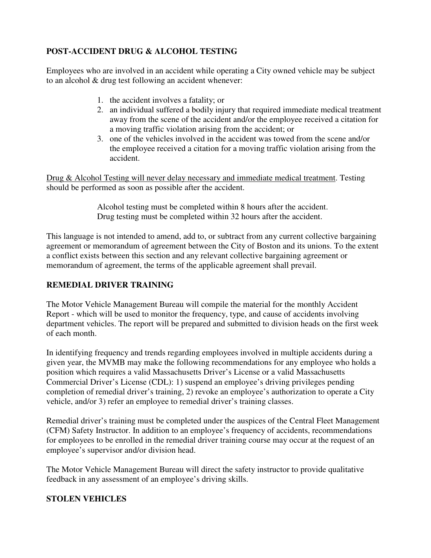# **POST-ACCIDENT DRUG & ALCOHOL TESTING**

Employees who are involved in an accident while operating a City owned vehicle may be subject to an alcohol & drug test following an accident whenever:

- 1. the accident involves a fatality; or
- 2. an individual suffered a bodily injury that required immediate medical treatment away from the scene of the accident and/or the employee received a citation for a moving traffic violation arising from the accident; or
- 3. one of the vehicles involved in the accident was towed from the scene and/or the employee received a citation for a moving traffic violation arising from the accident.

Drug & Alcohol Testing will never delay necessary and immediate medical treatment. Testing should be performed as soon as possible after the accident.

> Alcohol testing must be completed within 8 hours after the accident. Drug testing must be completed within 32 hours after the accident.

This language is not intended to amend, add to, or subtract from any current collective bargaining agreement or memorandum of agreement between the City of Boston and its unions. To the extent a conflict exists between this section and any relevant collective bargaining agreement or memorandum of agreement, the terms of the applicable agreement shall prevail.

# **REMEDIAL DRIVER TRAINING**

The Motor Vehicle Management Bureau will compile the material for the monthly Accident Report - which will be used to monitor the frequency, type, and cause of accidents involving department vehicles. The report will be prepared and submitted to division heads on the first week of each month.

In identifying frequency and trends regarding employees involved in multiple accidents during a given year, the MVMB may make the following recommendations for any employee who holds a position which requires a valid Massachusetts Driver's License or a valid Massachusetts Commercial Driver's License (CDL): 1) suspend an employee's driving privileges pending completion of remedial driver's training, 2) revoke an employee's authorization to operate a City vehicle, and/or 3) refer an employee to remedial driver's training classes.

Remedial driver's training must be completed under the auspices of the Central Fleet Management (CFM) Safety Instructor. In addition to an employee's frequency of accidents, recommendations for employees to be enrolled in the remedial driver training course may occur at the request of an employee's supervisor and/or division head.

The Motor Vehicle Management Bureau will direct the safety instructor to provide qualitative feedback in any assessment of an employee's driving skills.

# **STOLEN VEHICLES**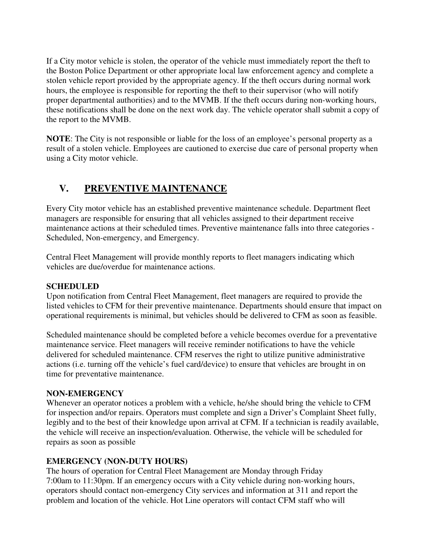If a City motor vehicle is stolen, the operator of the vehicle must immediately report the theft to the Boston Police Department or other appropriate local law enforcement agency and complete a stolen vehicle report provided by the appropriate agency. If the theft occurs during normal work hours, the employee is responsible for reporting the theft to their supervisor (who will notify proper departmental authorities) and to the MVMB. If the theft occurs during non-working hours, these notifications shall be done on the next work day. The vehicle operator shall submit a copy of the report to the MVMB.

**NOTE**: The City is not responsible or liable for the loss of an employee's personal property as a result of a stolen vehicle. Employees are cautioned to exercise due care of personal property when using a City motor vehicle.

# **V. PREVENTIVE MAINTENANCE**

Every City motor vehicle has an established preventive maintenance schedule. Department fleet managers are responsible for ensuring that all vehicles assigned to their department receive maintenance actions at their scheduled times. Preventive maintenance falls into three categories - Scheduled, Non-emergency, and Emergency.

Central Fleet Management will provide monthly reports to fleet managers indicating which vehicles are due/overdue for maintenance actions.

#### **SCHEDULED**

Upon notification from Central Fleet Management, fleet managers are required to provide the listed vehicles to CFM for their preventive maintenance. Departments should ensure that impact on operational requirements is minimal, but vehicles should be delivered to CFM as soon as feasible.

Scheduled maintenance should be completed before a vehicle becomes overdue for a preventative maintenance service. Fleet managers will receive reminder notifications to have the vehicle delivered for scheduled maintenance. CFM reserves the right to utilize punitive administrative actions (i.e. turning off the vehicle's fuel card/device) to ensure that vehicles are brought in on time for preventative maintenance.

# **NON-EMERGENCY**

Whenever an operator notices a problem with a vehicle, he/she should bring the vehicle to CFM for inspection and/or repairs. Operators must complete and sign a Driver's Complaint Sheet fully, legibly and to the best of their knowledge upon arrival at CFM. If a technician is readily available, the vehicle will receive an inspection/evaluation. Otherwise, the vehicle will be scheduled for repairs as soon as possible

# **EMERGENCY (NON-DUTY HOURS)**

The hours of operation for Central Fleet Management are Monday through Friday 7:00am to 11:30pm. If an emergency occurs with a City vehicle during non-working hours, operators should contact non-emergency City services and information at 311 and report the problem and location of the vehicle. Hot Line operators will contact CFM staff who will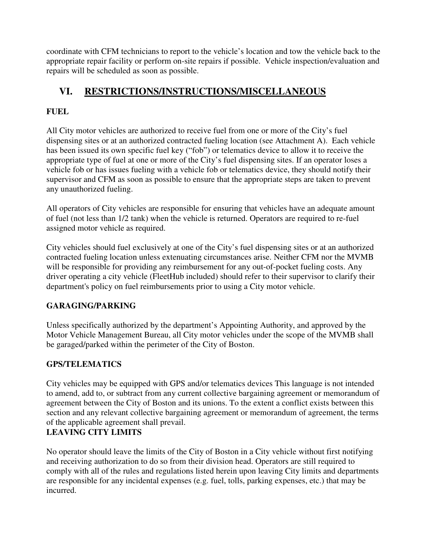coordinate with CFM technicians to report to the vehicle's location and tow the vehicle back to the appropriate repair facility or perform on-site repairs if possible. Vehicle inspection/evaluation and repairs will be scheduled as soon as possible.

# **VI. RESTRICTIONS/INSTRUCTIONS/MISCELLANEOUS**

# **FUEL**

All City motor vehicles are authorized to receive fuel from one or more of the City's fuel dispensing sites or at an authorized contracted fueling location (see Attachment A). Each vehicle has been issued its own specific fuel key ("fob") or telematics device to allow it to receive the appropriate type of fuel at one or more of the City's fuel dispensing sites. If an operator loses a vehicle fob or has issues fueling with a vehicle fob or telematics device, they should notify their supervisor and CFM as soon as possible to ensure that the appropriate steps are taken to prevent any unauthorized fueling.

All operators of City vehicles are responsible for ensuring that vehicles have an adequate amount of fuel (not less than 1/2 tank) when the vehicle is returned. Operators are required to re-fuel assigned motor vehicle as required.

City vehicles should fuel exclusively at one of the City's fuel dispensing sites or at an authorized contracted fueling location unless extenuating circumstances arise. Neither CFM nor the MVMB will be responsible for providing any reimbursement for any out-of-pocket fueling costs. Any driver operating a city vehicle (FleetHub included) should refer to their supervisor to clarify their department's policy on fuel reimbursements prior to using a City motor vehicle.

# **GARAGING/PARKING**

Unless specifically authorized by the department's Appointing Authority, and approved by the Motor Vehicle Management Bureau, all City motor vehicles under the scope of the MVMB shall be garaged/parked within the perimeter of the City of Boston.

# **GPS/TELEMATICS**

City vehicles may be equipped with GPS and/or telematics devices This language is not intended to amend, add to, or subtract from any current collective bargaining agreement or memorandum of agreement between the City of Boston and its unions. To the extent a conflict exists between this section and any relevant collective bargaining agreement or memorandum of agreement, the terms of the applicable agreement shall prevail.

# **LEAVING CITY LIMITS**

No operator should leave the limits of the City of Boston in a City vehicle without first notifying and receiving authorization to do so from their division head. Operators are still required to comply with all of the rules and regulations listed herein upon leaving City limits and departments are responsible for any incidental expenses (e.g. fuel, tolls, parking expenses, etc.) that may be incurred.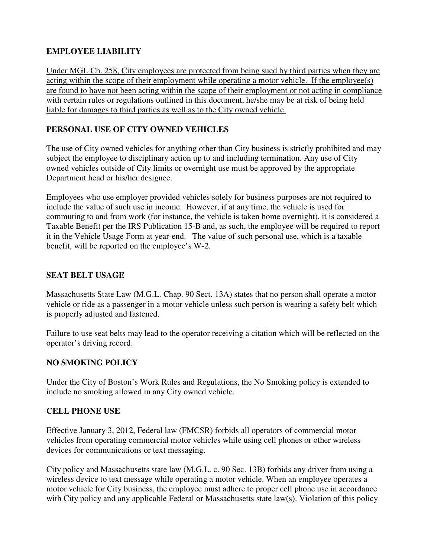# **EMPLOYEE LIABILITY**

Under MGL Ch. 258, City employees are protected from being sued by third parties when they are acting within the scope of their employment while operating a motor vehicle. If the employee(s) are found to have not been acting within the scope of their employment or not acting in compliance with certain rules or regulations outlined in this document, he/she may be at risk of being held liable for damages to third parties as well as to the City owned vehicle.

# **PERSONAL USE OF CITY OWNED VEHICLES**

The use of City owned vehicles for anything other than City business is strictly prohibited and may subject the employee to disciplinary action up to and including termination. Any use of City owned vehicles outside of City limits or overnight use must be approved by the appropriate Department head or his/her designee.

Employees who use employer provided vehicles solely for business purposes are not required to include the value of such use in income. However, if at any time, the vehicle is used for commuting to and from work (for instance, the vehicle is taken home overnight), it is considered a Taxable Benefit per the IRS Publication 15-B and, as such, the employee will be required to report it in the Vehicle Usage Form at year-end. The value of such personal use, which is a taxable benefit, will be reported on the employee's W-2.

# **SEAT BELT USAGE**

Massachusetts State Law (M.G.L. Chap. 90 Sect. 13A) states that no person shall operate a motor vehicle or ride as a passenger in a motor vehicle unless such person is wearing a safety belt which is properly adjusted and fastened.

Failure to use seat belts may lead to the operator receiving a citation which will be reflected on the operator's driving record.

# **NO SMOKING POLICY**

Under the City of Boston's Work Rules and Regulations, the No Smoking policy is extended to include no smoking allowed in any City owned vehicle.

# **CELL PHONE USE**

Effective January 3, 2012, Federal law (FMCSR) forbids all operators of commercial motor vehicles from operating commercial motor vehicles while using cell phones or other wireless devices for communications or text messaging.

City policy and Massachusetts state law (M.G.L. c. 90 Sec. 13B) forbids any driver from using a wireless device to text message while operating a motor vehicle. When an employee operates a motor vehicle for City business, the employee must adhere to proper cell phone use in accordance with City policy and any applicable Federal or Massachusetts state law(s). Violation of this policy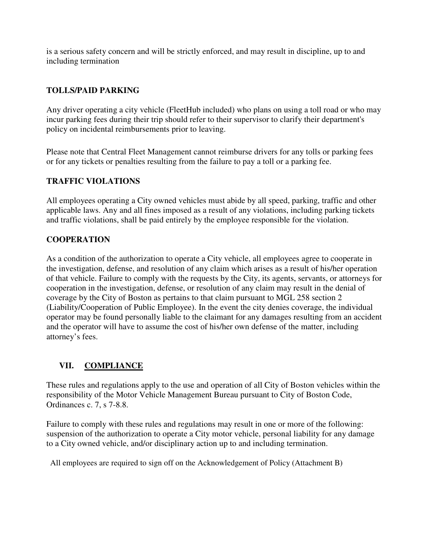is a serious safety concern and will be strictly enforced, and may result in discipline, up to and including termination

# **TOLLS/PAID PARKING**

Any driver operating a city vehicle (FleetHub included) who plans on using a toll road or who may incur parking fees during their trip should refer to their supervisor to clarify their department's policy on incidental reimbursements prior to leaving.

Please note that Central Fleet Management cannot reimburse drivers for any tolls or parking fees or for any tickets or penalties resulting from the failure to pay a toll or a parking fee.

### **TRAFFIC VIOLATIONS**

All employees operating a City owned vehicles must abide by all speed, parking, traffic and other applicable laws. Any and all fines imposed as a result of any violations, including parking tickets and traffic violations, shall be paid entirely by the employee responsible for the violation.

#### **COOPERATION**

As a condition of the authorization to operate a City vehicle, all employees agree to cooperate in the investigation, defense, and resolution of any claim which arises as a result of his/her operation of that vehicle. Failure to comply with the requests by the City, its agents, servants, or attorneys for cooperation in the investigation, defense, or resolution of any claim may result in the denial of coverage by the City of Boston as pertains to that claim pursuant to MGL 258 section 2 (Liability/Cooperation of Public Employee). In the event the city denies coverage, the individual operator may be found personally liable to the claimant for any damages resulting from an accident and the operator will have to assume the cost of his/her own defense of the matter, including attorney's fees.

# **VII. COMPLIANCE**

These rules and regulations apply to the use and operation of all City of Boston vehicles within the responsibility of the Motor Vehicle Management Bureau pursuant to City of Boston Code, Ordinances c. 7, s 7-8.8.

Failure to comply with these rules and regulations may result in one or more of the following: suspension of the authorization to operate a City motor vehicle, personal liability for any damage to a City owned vehicle, and/or disciplinary action up to and including termination.

All employees are required to sign off on the Acknowledgement of Policy (Attachment B)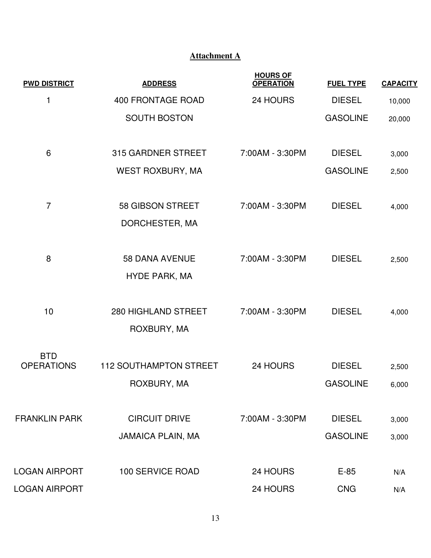# **Attachment A**

| <b>PWD DISTRICT</b>                   | <b>ADDRESS</b>                                   | <b>HOURS OF</b><br><b>OPERATION</b> | <b>FUEL TYPE</b>                 | <b>CAPACITY</b> |
|---------------------------------------|--------------------------------------------------|-------------------------------------|----------------------------------|-----------------|
| 1                                     | <b>400 FRONTAGE ROAD</b>                         | 24 HOURS                            | <b>DIESEL</b>                    | 10,000          |
|                                       | <b>SOUTH BOSTON</b>                              |                                     | <b>GASOLINE</b>                  | 20,000          |
| 6                                     | 315 GARDNER STREET                               | 7:00AM - 3:30PM                     | <b>DIESEL</b>                    | 3,000           |
|                                       | <b>WEST ROXBURY, MA</b>                          |                                     | <b>GASOLINE</b>                  | 2,500           |
| $\overline{7}$                        | 58 GIBSON STREET<br>DORCHESTER, MA               | 7:00AM - 3:30PM                     | <b>DIESEL</b>                    | 4,000           |
| 8                                     | <b>58 DANA AVENUE</b><br>HYDE PARK, MA           | 7:00AM - 3:30PM                     | <b>DIESEL</b>                    | 2,500           |
| 10                                    | 280 HIGHLAND STREET<br>ROXBURY, MA               | 7:00AM - 3:30PM                     | <b>DIESEL</b>                    | 4,000           |
| <b>BTD</b><br><b>OPERATIONS</b>       | <b>112 SOUTHAMPTON STREET</b><br>ROXBURY, MA     | 24 HOURS                            | <b>DIESEL</b><br><b>GASOLINE</b> | 2,500<br>6,000  |
| <b>FRANKLIN PARK</b>                  | <b>CIRCUIT DRIVE</b><br><b>JAMAICA PLAIN, MA</b> | 7:00AM - 3:30PM                     | <b>DIESEL</b><br><b>GASOLINE</b> | 3,000<br>3,000  |
| <b>LOGAN AIRPORT</b><br>LOGAN AIRPORT | <b>100 SERVICE ROAD</b>                          | 24 HOURS<br>24 HOURS                | $E-85$<br><b>CNG</b>             | N/A<br>N/A      |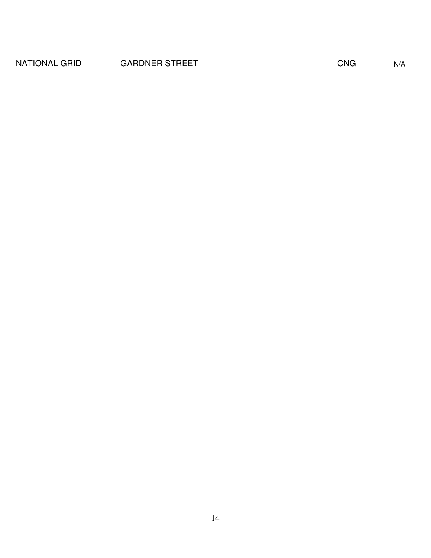# NATIONAL GRID GARDNER STREET CNG CNG N/A